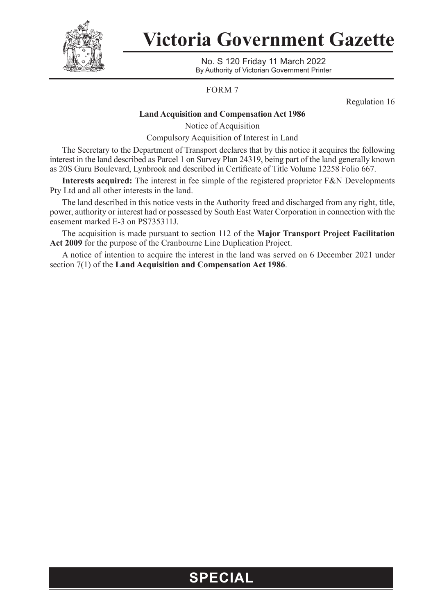

## **Victoria Government Gazette**

No. S 120 Friday 11 March 2022 By Authority of Victorian Government Printer

#### FORM 7

Regulation 16

#### **Land Acquisition and Compensation Act 1986**

Notice of Acquisition

Compulsory Acquisition of Interest in Land

The Secretary to the Department of Transport declares that by this notice it acquires the following interest in the land described as Parcel 1 on Survey Plan 24319, being part of the land generally known as 20S Guru Boulevard, Lynbrook and described in Certificate of Title Volume 12258 Folio 667.

**Interests acquired:** The interest in fee simple of the registered proprietor F&N Developments Pty Ltd and all other interests in the land.

The land described in this notice vests in the Authority freed and discharged from any right, title, power, authority or interest had or possessed by South East Water Corporation in connection with the easement marked E-3 on PS735311J.

The acquisition is made pursuant to section 112 of the **Major Transport Project Facilitation Act 2009** for the purpose of the Cranbourne Line Duplication Project.

A notice of intention to acquire the interest in the land was served on 6 December 2021 under section 7(1) of the **Land Acquisition and Compensation Act 1986**.

### **SPECIAL**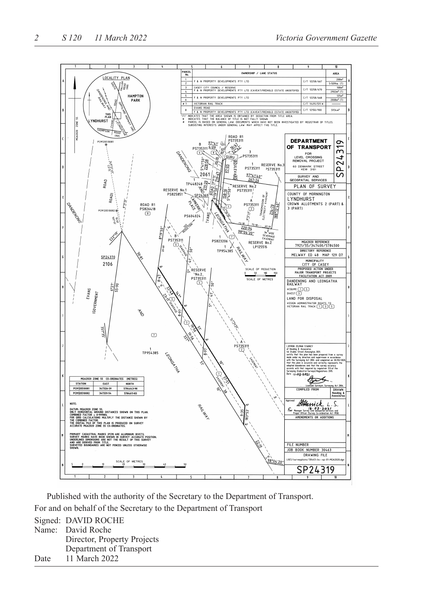

Published with the authority of the Secretary to the Department of Transport.

For and on behalf of the Secretary to the Department of Transport

Signed: DAVID ROCHE Name: David Roche Director, Property Projects Department of Transport Date 11 March 2022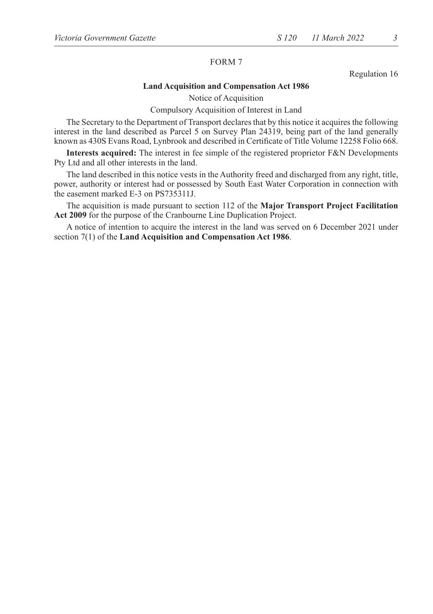#### FORM 7

Regulation 16

#### **Land Acquisition and Compensation Act 1986**

Notice of Acquisition

#### Compulsory Acquisition of Interest in Land

The Secretary to the Department of Transport declares that by this notice it acquires the following interest in the land described as Parcel 5 on Survey Plan 24319, being part of the land generally known as 430S Evans Road, Lynbrook and described in Certificate of Title Volume 12258 Folio 668.

**Interests acquired:** The interest in fee simple of the registered proprietor F&N Developments Pty Ltd and all other interests in the land.

The land described in this notice vests in the Authority freed and discharged from any right, title, power, authority or interest had or possessed by South East Water Corporation in connection with the easement marked E-3 on PS735311J.

The acquisition is made pursuant to section 112 of the **Major Transport Project Facilitation Act 2009** for the purpose of the Cranbourne Line Duplication Project.

A notice of intention to acquire the interest in the land was served on 6 December 2021 under section 7(1) of the **Land Acquisition and Compensation Act 1986**.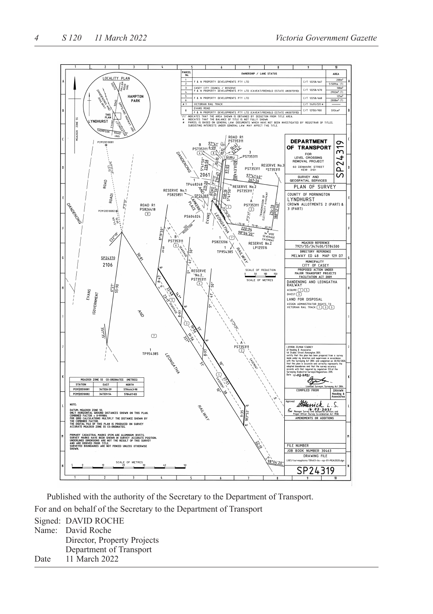

Published with the authority of the Secretary to the Department of Transport.

For and on behalf of the Secretary to the Department of Transport

Signed: DAVID ROCHE Name: David Roche Director, Property Projects Department of Transport Date 11 March 2022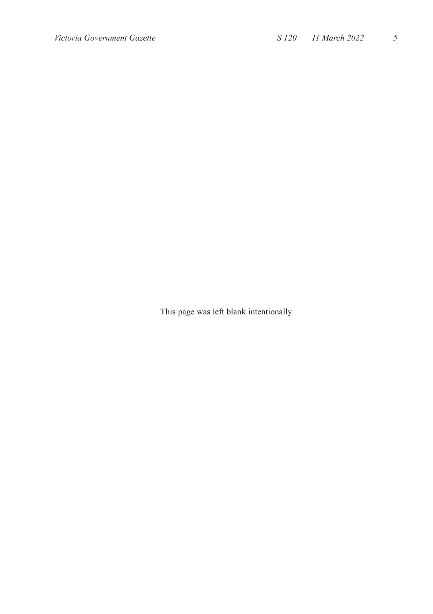This page was left blank intentionally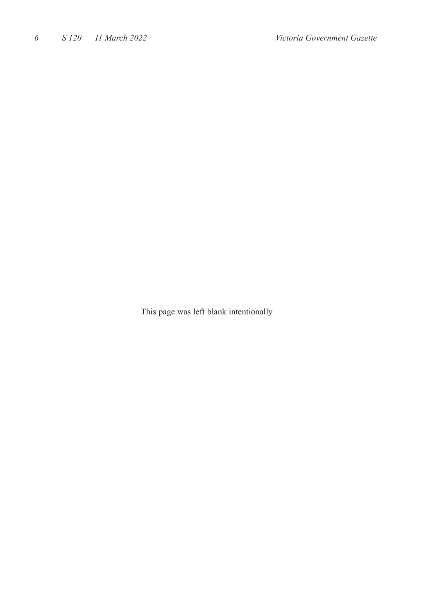This page was left blank intentionally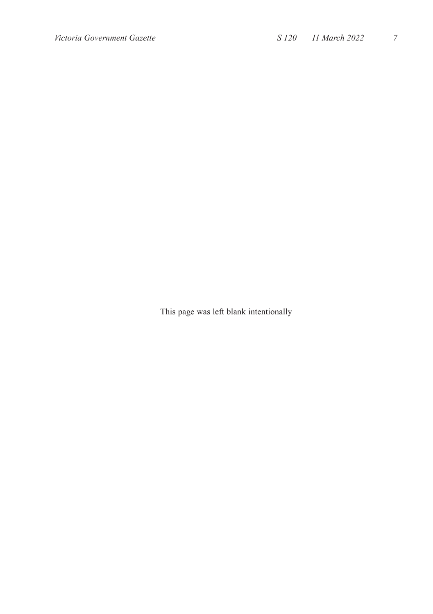This page was left blank intentionally